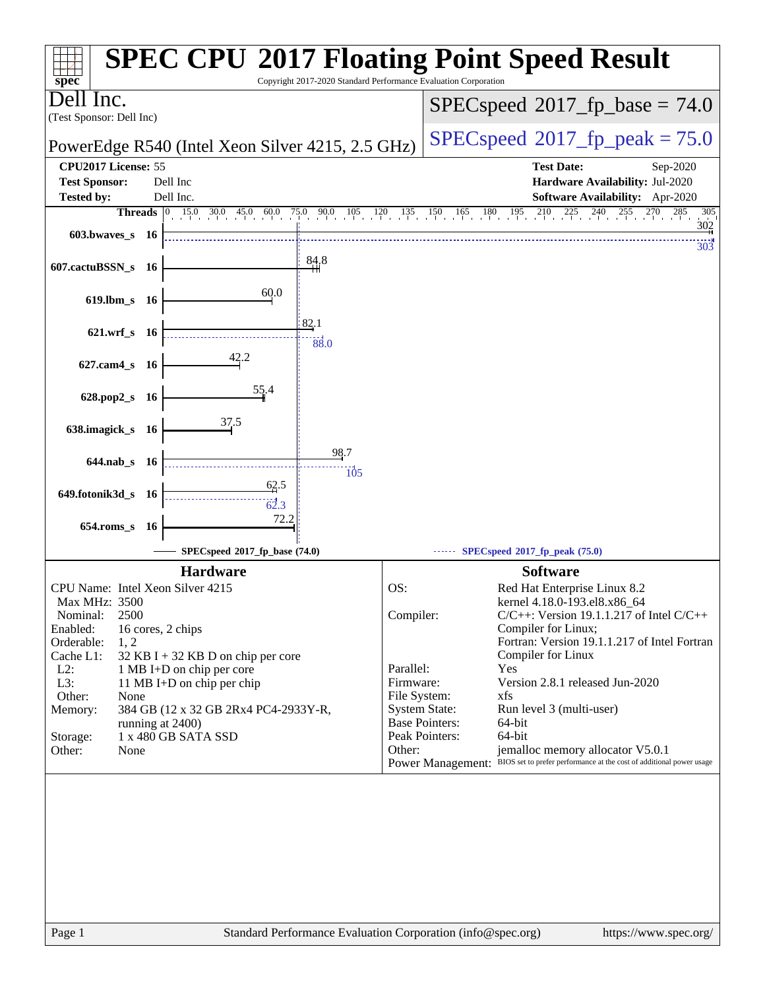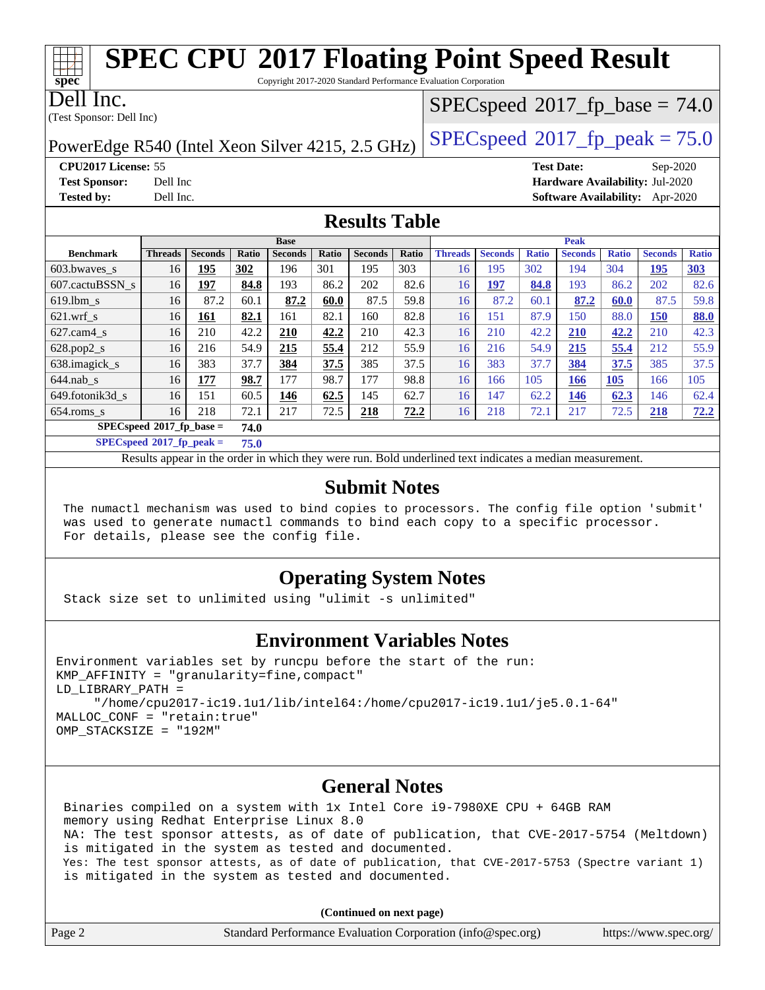Copyright 2017-2020 Standard Performance Evaluation Corporation

Dell Inc.

**[spec](http://www.spec.org/)**

(Test Sponsor: Dell Inc)

 $SPECspeed^{\circ}2017\_fp\_base = 74.0$  $SPECspeed^{\circ}2017\_fp\_base = 74.0$ 

PowerEdge R540 (Intel Xeon Silver 4215, 2.5 GHz)  $\left|$  [SPECspeed](http://www.spec.org/auto/cpu2017/Docs/result-fields.html#SPECspeed2017fppeak)<sup>®</sup>[2017\\_fp\\_peak = 7](http://www.spec.org/auto/cpu2017/Docs/result-fields.html#SPECspeed2017fppeak)5.0

**[CPU2017 License:](http://www.spec.org/auto/cpu2017/Docs/result-fields.html#CPU2017License)** 55 **[Test Date:](http://www.spec.org/auto/cpu2017/Docs/result-fields.html#TestDate)** Sep-2020 **[Test Sponsor:](http://www.spec.org/auto/cpu2017/Docs/result-fields.html#TestSponsor)** Dell Inc **[Hardware Availability:](http://www.spec.org/auto/cpu2017/Docs/result-fields.html#HardwareAvailability)** Jul-2020 **[Tested by:](http://www.spec.org/auto/cpu2017/Docs/result-fields.html#Testedby)** Dell Inc. **[Software Availability:](http://www.spec.org/auto/cpu2017/Docs/result-fields.html#SoftwareAvailability)** Apr-2020

### **[Results Table](http://www.spec.org/auto/cpu2017/Docs/result-fields.html#ResultsTable)**

| <b>Base</b>                 |                |                |       |                | <b>Peak</b> |                |       |                |                |              |                |              |                |              |
|-----------------------------|----------------|----------------|-------|----------------|-------------|----------------|-------|----------------|----------------|--------------|----------------|--------------|----------------|--------------|
| <b>Benchmark</b>            | <b>Threads</b> | <b>Seconds</b> | Ratio | <b>Seconds</b> | Ratio       | <b>Seconds</b> | Ratio | <b>Threads</b> | <b>Seconds</b> | <b>Ratio</b> | <b>Seconds</b> | <b>Ratio</b> | <b>Seconds</b> | <b>Ratio</b> |
| 603.bwayes_s                | 16             | 195            | 302   | 196            | 301         | 195            | 303   | 16             | 195            | 302          | 194            | 304          | 195            | <b>303</b>   |
| 607.cactuBSSN s             | 16             | 197            | 84.8  | 193            | 86.2        | 202            | 82.6  | 16             | <u>197</u>     | 84.8         | 193            | 86.2         | 202            | 82.6         |
| $619.$ lbm_s                | 16             | 87.2           | 60.1  | 87.2           | 60.0        | 87.5           | 59.8  | 16             | 87.2           | 60.1         | 87.2           | 60.0         | 87.5           | 59.8         |
| $621$ wrf s                 | 16             | 161            | 82.1  | 161            | 82.1        | 160            | 82.8  | 16             | 151            | 87.9         | 150            | 88.0         | 150            | <b>88.0</b>  |
| $627$ .cam $4$ <sub>S</sub> | 16             | 210            | 42.2  | 210            | 42.2        | 210            | 42.3  | 16             | 210            | 42.2         | 210            | 42.2         | 210            | 42.3         |
| $628.pop2_s$                | 16             | 216            | 54.9  | 215            | 55.4        | 212            | 55.9  | 16             | 216            | 54.9         | 215            | 55.4         | 212            | 55.9         |
| 638.imagick_s               | 16             | 383            | 37.7  | 384            | 37.5        | 385            | 37.5  | 16             | 383            | 37.7         | 384            | 37.5         | 385            | 37.5         |
| $644$ .nab s                | 16             | 177            | 98.7  | 177            | 98.7        | 177            | 98.8  | 16             | 166            | 105          | 166            | <b>105</b>   | 166            | 105          |
| 649.fotonik3d s             | 16             | 151            | 60.5  | 146            | 62.5        | 145            | 62.7  | 16             | 147            | 62.2         | 146            | 62.3         | 146            | 62.4         |
| $654$ .roms s               | 16             | 218            | 72.1  | 217            | 72.5        | 218            | 72.2  | 16             | 218            | 72.1         | 217            | 72.5         | 218            | 72.2         |
| $SPECspeed*2017_fp\_base =$ |                |                | 74.0  |                |             |                |       |                |                |              |                |              |                |              |

**[SPECspeed](http://www.spec.org/auto/cpu2017/Docs/result-fields.html#SPECspeed2017fppeak)[2017\\_fp\\_peak =](http://www.spec.org/auto/cpu2017/Docs/result-fields.html#SPECspeed2017fppeak) 75.0**

Results appear in the [order in which they were run.](http://www.spec.org/auto/cpu2017/Docs/result-fields.html#RunOrder) Bold underlined text [indicates a median measurement](http://www.spec.org/auto/cpu2017/Docs/result-fields.html#Median).

### **[Submit Notes](http://www.spec.org/auto/cpu2017/Docs/result-fields.html#SubmitNotes)**

 The numactl mechanism was used to bind copies to processors. The config file option 'submit' was used to generate numactl commands to bind each copy to a specific processor. For details, please see the config file.

### **[Operating System Notes](http://www.spec.org/auto/cpu2017/Docs/result-fields.html#OperatingSystemNotes)**

Stack size set to unlimited using "ulimit -s unlimited"

### **[Environment Variables Notes](http://www.spec.org/auto/cpu2017/Docs/result-fields.html#EnvironmentVariablesNotes)**

```
Environment variables set by runcpu before the start of the run:
KMP AFFINITY = "granularity=fine, compact"
LD_LIBRARY_PATH =
      "/home/cpu2017-ic19.1u1/lib/intel64:/home/cpu2017-ic19.1u1/je5.0.1-64"
MALLOC_CONF = "retain:true"
OMP_STACKSIZE = "192M"
```
#### **[General Notes](http://www.spec.org/auto/cpu2017/Docs/result-fields.html#GeneralNotes)**

 Binaries compiled on a system with 1x Intel Core i9-7980XE CPU + 64GB RAM memory using Redhat Enterprise Linux 8.0 NA: The test sponsor attests, as of date of publication, that CVE-2017-5754 (Meltdown) is mitigated in the system as tested and documented. Yes: The test sponsor attests, as of date of publication, that CVE-2017-5753 (Spectre variant 1) is mitigated in the system as tested and documented.

**(Continued on next page)**

| Page 2 | Standard Performance Evaluation Corporation (info@spec.org) | https://www.spec.org/ |
|--------|-------------------------------------------------------------|-----------------------|
|--------|-------------------------------------------------------------|-----------------------|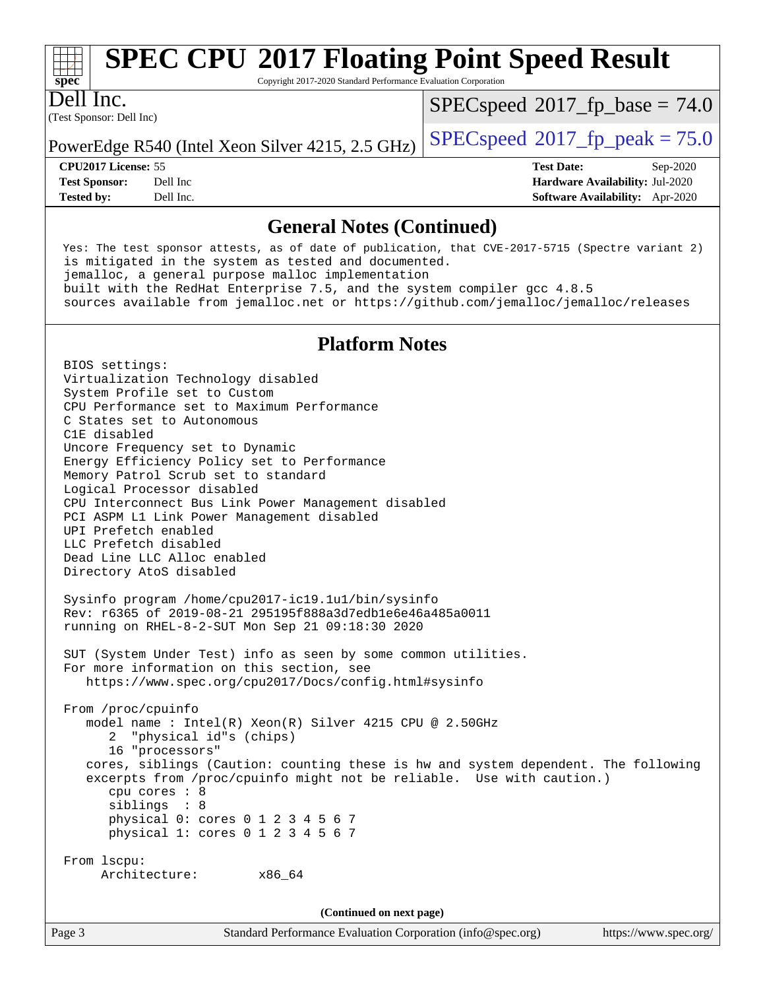

Copyright 2017-2020 Standard Performance Evaluation Corporation

(Test Sponsor: Dell Inc) Dell Inc.

 $SPECspeed^{\circ}2017\_fp\_base = 74.0$  $SPECspeed^{\circ}2017\_fp\_base = 74.0$ 

PowerEdge R540 (Intel Xeon Silver 4215, 2.5 GHz)  $\left|$  [SPECspeed](http://www.spec.org/auto/cpu2017/Docs/result-fields.html#SPECspeed2017fppeak)<sup>®</sup>[2017\\_fp\\_peak = 7](http://www.spec.org/auto/cpu2017/Docs/result-fields.html#SPECspeed2017fppeak)5.0

**[CPU2017 License:](http://www.spec.org/auto/cpu2017/Docs/result-fields.html#CPU2017License)** 55 **[Test Date:](http://www.spec.org/auto/cpu2017/Docs/result-fields.html#TestDate)** Sep-2020 **[Test Sponsor:](http://www.spec.org/auto/cpu2017/Docs/result-fields.html#TestSponsor)** Dell Inc **[Hardware Availability:](http://www.spec.org/auto/cpu2017/Docs/result-fields.html#HardwareAvailability)** Jul-2020 **[Tested by:](http://www.spec.org/auto/cpu2017/Docs/result-fields.html#Testedby)** Dell Inc. **[Software Availability:](http://www.spec.org/auto/cpu2017/Docs/result-fields.html#SoftwareAvailability)** Apr-2020

### **[General Notes \(Continued\)](http://www.spec.org/auto/cpu2017/Docs/result-fields.html#GeneralNotes)**

 Yes: The test sponsor attests, as of date of publication, that CVE-2017-5715 (Spectre variant 2) is mitigated in the system as tested and documented. jemalloc, a general purpose malloc implementation built with the RedHat Enterprise 7.5, and the system compiler gcc 4.8.5 sources available from jemalloc.net or <https://github.com/jemalloc/jemalloc/releases>

### **[Platform Notes](http://www.spec.org/auto/cpu2017/Docs/result-fields.html#PlatformNotes)**

 BIOS settings: Virtualization Technology disabled System Profile set to Custom CPU Performance set to Maximum Performance C States set to Autonomous C1E disabled Uncore Frequency set to Dynamic Energy Efficiency Policy set to Performance Memory Patrol Scrub set to standard Logical Processor disabled CPU Interconnect Bus Link Power Management disabled PCI ASPM L1 Link Power Management disabled UPI Prefetch enabled LLC Prefetch disabled Dead Line LLC Alloc enabled Directory AtoS disabled Sysinfo program /home/cpu2017-ic19.1u1/bin/sysinfo Rev: r6365 of 2019-08-21 295195f888a3d7edb1e6e46a485a0011 running on RHEL-8-2-SUT Mon Sep 21 09:18:30 2020 SUT (System Under Test) info as seen by some common utilities. For more information on this section, see <https://www.spec.org/cpu2017/Docs/config.html#sysinfo> From /proc/cpuinfo model name : Intel(R) Xeon(R) Silver 4215 CPU @ 2.50GHz 2 "physical id"s (chips) 16 "processors" cores, siblings (Caution: counting these is hw and system dependent. The following excerpts from /proc/cpuinfo might not be reliable. Use with caution.) cpu cores : 8 siblings : 8 physical 0: cores 0 1 2 3 4 5 6 7 physical 1: cores 0 1 2 3 4 5 6 7 From lscpu: Architecture: x86\_64 **(Continued on next page)**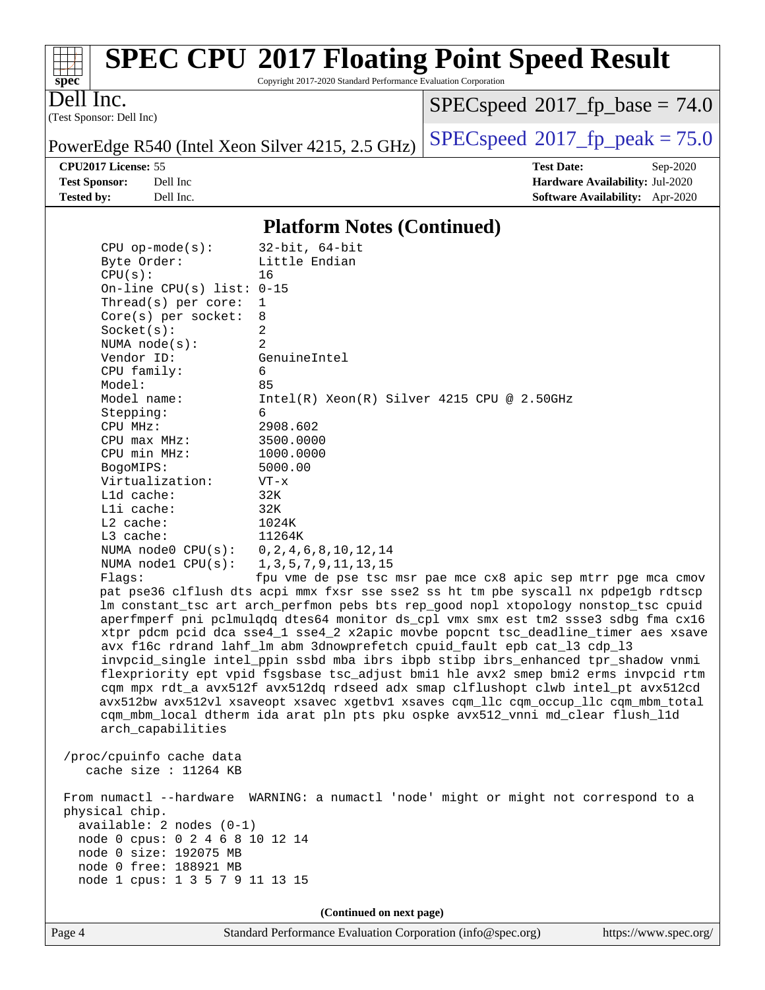

Copyright 2017-2020 Standard Performance Evaluation Corporation

Dell Inc.

(Test Sponsor: Dell Inc)

 $SPECspeed^{\circ}2017\_fp\_base = 74.0$  $SPECspeed^{\circ}2017\_fp\_base = 74.0$ 

PowerEdge R540 (Intel Xeon Silver 4215, 2.5 GHz)  $\left|$  [SPECspeed](http://www.spec.org/auto/cpu2017/Docs/result-fields.html#SPECspeed2017fppeak)<sup>®</sup>[2017\\_fp\\_peak = 7](http://www.spec.org/auto/cpu2017/Docs/result-fields.html#SPECspeed2017fppeak)5.0

**[CPU2017 License:](http://www.spec.org/auto/cpu2017/Docs/result-fields.html#CPU2017License)** 55 **[Test Date:](http://www.spec.org/auto/cpu2017/Docs/result-fields.html#TestDate)** Sep-2020 **[Test Sponsor:](http://www.spec.org/auto/cpu2017/Docs/result-fields.html#TestSponsor)** Dell Inc **[Hardware Availability:](http://www.spec.org/auto/cpu2017/Docs/result-fields.html#HardwareAvailability)** Jul-2020 **[Tested by:](http://www.spec.org/auto/cpu2017/Docs/result-fields.html#Testedby)** Dell Inc. **[Software Availability:](http://www.spec.org/auto/cpu2017/Docs/result-fields.html#SoftwareAvailability)** Apr-2020

#### **[Platform Notes \(Continued\)](http://www.spec.org/auto/cpu2017/Docs/result-fields.html#PlatformNotes)**

| $CPU$ op-mode( $s$ ):                 | 32-bit, 64-bit                                                                      |
|---------------------------------------|-------------------------------------------------------------------------------------|
| Byte Order:                           | Little Endian                                                                       |
| CPU(s):                               | 16                                                                                  |
| On-line CPU(s) list: $0-15$           |                                                                                     |
| Thread(s) per core:                   | 1                                                                                   |
| $Core(s)$ per socket:                 | 8                                                                                   |
| Socket(s):                            | 2                                                                                   |
| NUMA $node(s)$ :                      | $\mathfrak{D}$                                                                      |
| Vendor ID:                            | GenuineIntel                                                                        |
| CPU family:                           | 6                                                                                   |
| Model:                                | 85                                                                                  |
| Model name:                           | $Intel(R) Xeon(R) Silver 4215 CPU @ 2.50GHz$                                        |
| Stepping:                             | 6                                                                                   |
| CPU MHz:                              | 2908.602                                                                            |
| $CPU$ $max$ $MHz$ :                   | 3500.0000                                                                           |
| CPU min MHz:                          | 1000.0000                                                                           |
| BogoMIPS:                             | 5000.00                                                                             |
| Virtualization:                       | $VT - x$                                                                            |
| L1d cache:                            | 32K                                                                                 |
| $L1i$ cache:                          | 32K                                                                                 |
| $L2$ cache:                           | 1024K                                                                               |
| $L3$ cache:                           | 11264K                                                                              |
| NUMA node0 CPU(s): 0,2,4,6,8,10,12,14 |                                                                                     |
| NUMA nodel CPU(s):                    | 1, 3, 5, 7, 9, 11, 13, 15                                                           |
| Flaqs:                                | fpu vme de pse tsc msr pae mce cx8 apic sep mtrr pge mca cmov                       |
|                                       | pat pse36 clflush dts acpi mmx fxsr sse sse2 ss ht tm pbe syscall nx pdpelgb rdtscp |
|                                       | Im constant tsc art arch perfmon pebs bts rep good nopl xtopology nonstop tsc cpuid |
|                                       | aperfmperf pni pclmulqdq dtes64 monitor ds_cpl vmx smx est tm2 ssse3 sdbg fma cx16  |
|                                       | xtpr pdcm pcid dca sse4_1 sse4_2 x2apic movbe popcnt tsc_deadline_timer aes xsave   |
|                                       | avx f16c rdrand lahf lm abm 3dnowprefetch cpuid fault epb cat 13 cdp 13             |

 invpcid\_single intel\_ppin ssbd mba ibrs ibpb stibp ibrs\_enhanced tpr\_shadow vnmi flexpriority ept vpid fsgsbase tsc\_adjust bmi1 hle avx2 smep bmi2 erms invpcid rtm cqm mpx rdt\_a avx512f avx512dq rdseed adx smap clflushopt clwb intel\_pt avx512cd avx512bw avx512vl xsaveopt xsavec xgetbv1 xsaves cqm\_llc cqm\_occup\_llc cqm\_mbm\_total cqm\_mbm\_local dtherm ida arat pln pts pku ospke avx512\_vnni md\_clear flush\_l1d arch\_capabilities

 /proc/cpuinfo cache data cache size : 11264 KB

 From numactl --hardware WARNING: a numactl 'node' might or might not correspond to a physical chip. available: 2 nodes (0-1) node 0 cpus: 0 2 4 6 8 10 12 14 node 0 size: 192075 MB node 0 free: 188921 MB node 1 cpus: 1 3 5 7 9 11 13 15

**(Continued on next page)**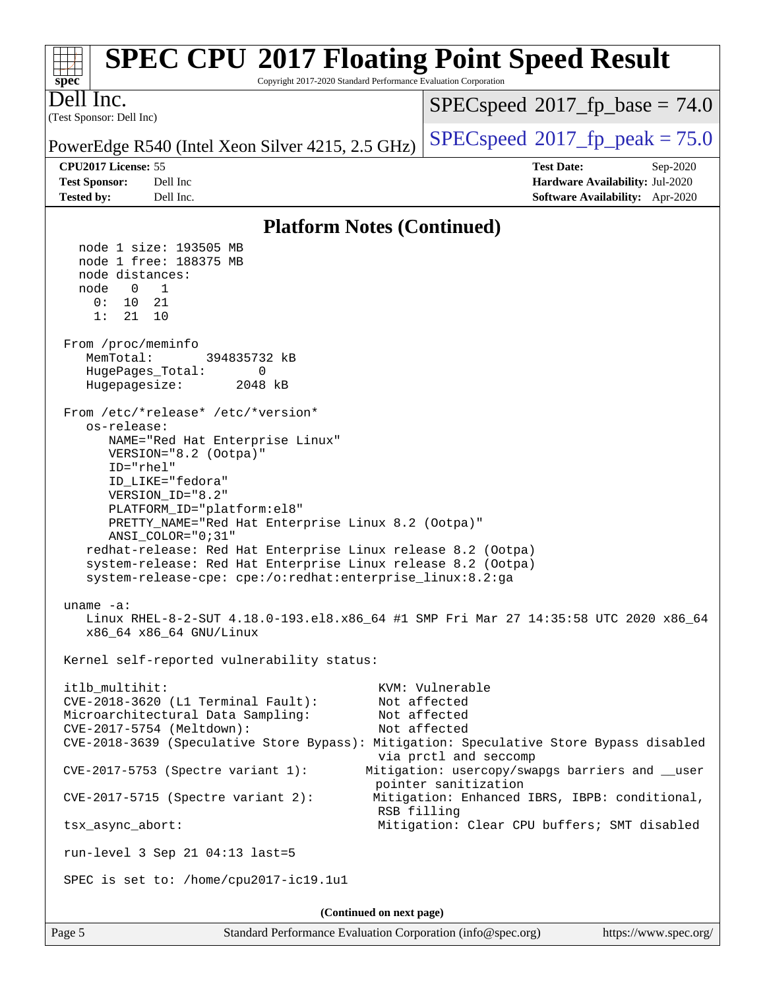#### **[spec](http://www.spec.org/) [SPEC CPU](http://www.spec.org/auto/cpu2017/Docs/result-fields.html#SPECCPU2017FloatingPointSpeedResult)[2017 Floating Point Speed Result](http://www.spec.org/auto/cpu2017/Docs/result-fields.html#SPECCPU2017FloatingPointSpeedResult)** Copyright 2017-2020 Standard Performance Evaluation Corporation (Test Sponsor: Dell Inc) Dell Inc. PowerEdge R540 (Intel Xeon Silver 4215, 2.5 GHz)  $\left|$  [SPECspeed](http://www.spec.org/auto/cpu2017/Docs/result-fields.html#SPECspeed2017fppeak)<sup>®</sup>[2017\\_fp\\_peak = 7](http://www.spec.org/auto/cpu2017/Docs/result-fields.html#SPECspeed2017fppeak)5.0  $SPECspeed^{\circ}2017\_fp\_base = 74.0$  $SPECspeed^{\circ}2017\_fp\_base = 74.0$ **[CPU2017 License:](http://www.spec.org/auto/cpu2017/Docs/result-fields.html#CPU2017License)** 55 **[Test Date:](http://www.spec.org/auto/cpu2017/Docs/result-fields.html#TestDate)** Sep-2020 **[Test Sponsor:](http://www.spec.org/auto/cpu2017/Docs/result-fields.html#TestSponsor)** Dell Inc **[Hardware Availability:](http://www.spec.org/auto/cpu2017/Docs/result-fields.html#HardwareAvailability)** Jul-2020 **[Tested by:](http://www.spec.org/auto/cpu2017/Docs/result-fields.html#Testedby)** Dell Inc. **[Software Availability:](http://www.spec.org/auto/cpu2017/Docs/result-fields.html#SoftwareAvailability)** Apr-2020 **[Platform Notes \(Continued\)](http://www.spec.org/auto/cpu2017/Docs/result-fields.html#PlatformNotes)** node 1 size: 193505 MB node 1 free: 188375 MB node distances: node 0 1 0: 10 21 1: 21 10 From /proc/meminfo MemTotal: 394835732 kB HugePages\_Total: 0 Hugepagesize: 2048 kB From /etc/\*release\* /etc/\*version\* os-release: NAME="Red Hat Enterprise Linux" VERSION="8.2 (Ootpa)" ID="rhel" ID\_LIKE="fedora" VERSION\_ID="8.2" PLATFORM\_ID="platform:el8" PRETTY\_NAME="Red Hat Enterprise Linux 8.2 (Ootpa)" ANSI\_COLOR="0;31" redhat-release: Red Hat Enterprise Linux release 8.2 (Ootpa) system-release: Red Hat Enterprise Linux release 8.2 (Ootpa) system-release-cpe: cpe:/o:redhat:enterprise\_linux:8.2:ga uname -a: Linux RHEL-8-2-SUT 4.18.0-193.el8.x86\_64 #1 SMP Fri Mar 27 14:35:58 UTC 2020 x86\_64 x86\_64 x86\_64 GNU/Linux Kernel self-reported vulnerability status: itlb\_multihit: KVM: Vulnerable CVE-2018-3620 (L1 Terminal Fault): Not affected Microarchitectural Data Sampling: Not affected CVE-2017-5754 (Meltdown): Not affected CVE-2018-3639 (Speculative Store Bypass): Mitigation: Speculative Store Bypass disabled via prctl and seccomp CVE-2017-5753 (Spectre variant 1): Mitigation: usercopy/swapgs barriers and \_\_user pointer sanitization CVE-2017-5715 (Spectre variant 2): Mitigation: Enhanced IBRS, IBPB: conditional, RSB filling tsx\_async\_abort: Mitigation: Clear CPU buffers; SMT disabled run-level 3 Sep 21 04:13 last=5 SPEC is set to: /home/cpu2017-ic19.1u1 **(Continued on next page)**

Page 5 Standard Performance Evaluation Corporation [\(info@spec.org\)](mailto:info@spec.org) <https://www.spec.org/>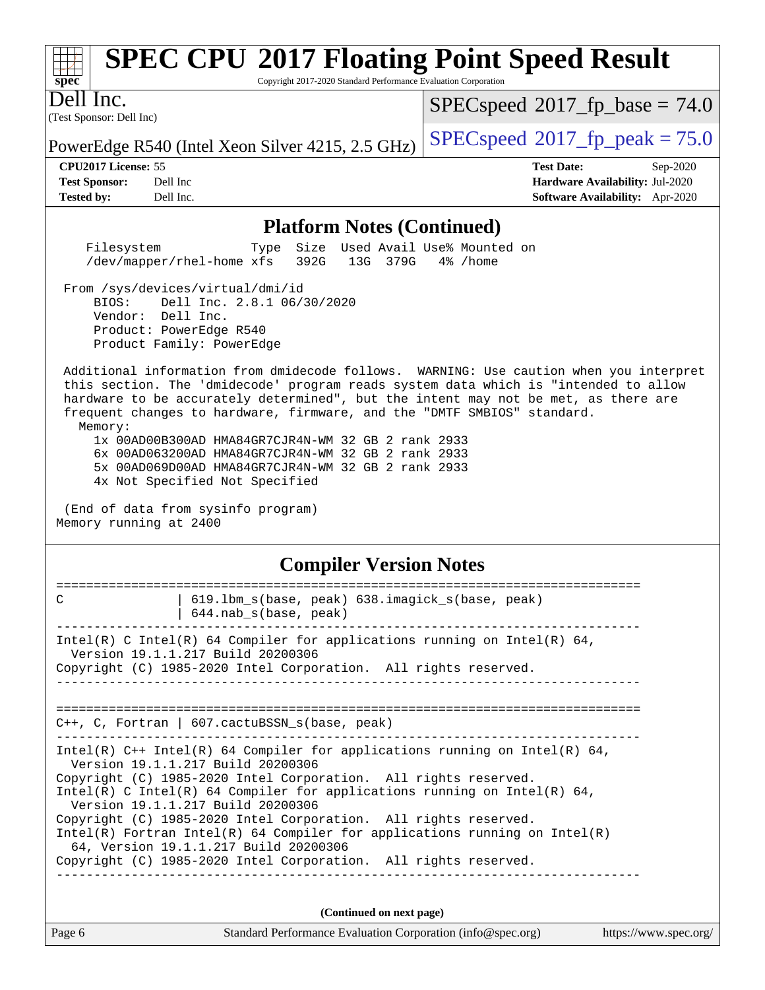# **[spec](http://www.spec.org/)**

## **[SPEC CPU](http://www.spec.org/auto/cpu2017/Docs/result-fields.html#SPECCPU2017FloatingPointSpeedResult)[2017 Floating Point Speed Result](http://www.spec.org/auto/cpu2017/Docs/result-fields.html#SPECCPU2017FloatingPointSpeedResult)**

Copyright 2017-2020 Standard Performance Evaluation Corporation

(Test Sponsor: Dell Inc) Dell Inc.

 $SPECspeed^{\circ}2017\_fp\_base = 74.0$  $SPECspeed^{\circ}2017\_fp\_base = 74.0$ 

PowerEdge R540 (Intel Xeon Silver 4215, 2.5 GHz)  $\left|$  [SPECspeed](http://www.spec.org/auto/cpu2017/Docs/result-fields.html#SPECspeed2017fppeak)<sup>®</sup>[2017\\_fp\\_peak = 7](http://www.spec.org/auto/cpu2017/Docs/result-fields.html#SPECspeed2017fppeak)5.0

**[CPU2017 License:](http://www.spec.org/auto/cpu2017/Docs/result-fields.html#CPU2017License)** 55 **[Test Date:](http://www.spec.org/auto/cpu2017/Docs/result-fields.html#TestDate)** Sep-2020 **[Test Sponsor:](http://www.spec.org/auto/cpu2017/Docs/result-fields.html#TestSponsor)** Dell Inc **[Hardware Availability:](http://www.spec.org/auto/cpu2017/Docs/result-fields.html#HardwareAvailability)** Jul-2020 **[Tested by:](http://www.spec.org/auto/cpu2017/Docs/result-fields.html#Testedby)** Dell Inc. **[Software Availability:](http://www.spec.org/auto/cpu2017/Docs/result-fields.html#SoftwareAvailability)** Apr-2020

#### **[Platform Notes \(Continued\)](http://www.spec.org/auto/cpu2017/Docs/result-fields.html#PlatformNotes)**

 Filesystem Type Size Used Avail Use% Mounted on /dev/mapper/rhel-home xfs 392G 13G 379G 4% /home

From /sys/devices/virtual/dmi/id

 BIOS: Dell Inc. 2.8.1 06/30/2020 Vendor: Dell Inc. Product: PowerEdge R540 Product Family: PowerEdge

 Additional information from dmidecode follows. WARNING: Use caution when you interpret this section. The 'dmidecode' program reads system data which is "intended to allow hardware to be accurately determined", but the intent may not be met, as there are frequent changes to hardware, firmware, and the "DMTF SMBIOS" standard. Memory:

 1x 00AD00B300AD HMA84GR7CJR4N-WM 32 GB 2 rank 2933 6x 00AD063200AD HMA84GR7CJR4N-WM 32 GB 2 rank 2933 5x 00AD069D00AD HMA84GR7CJR4N-WM 32 GB 2 rank 2933 4x Not Specified Not Specified

 (End of data from sysinfo program) Memory running at 2400

#### **[Compiler Version Notes](http://www.spec.org/auto/cpu2017/Docs/result-fields.html#CompilerVersionNotes)**

| C      | 619.1bm_s(base, peak) 638.imagick_s(base, peak)<br>$644.nab_s(base, peak)$                                                                                                                                                                                                                                                                                                                                                                                                                                                                                         |  |
|--------|--------------------------------------------------------------------------------------------------------------------------------------------------------------------------------------------------------------------------------------------------------------------------------------------------------------------------------------------------------------------------------------------------------------------------------------------------------------------------------------------------------------------------------------------------------------------|--|
|        | Intel(R) C Intel(R) 64 Compiler for applications running on Intel(R) 64,<br>Version 19.1.1.217 Build 20200306<br>Copyright (C) 1985-2020 Intel Corporation. All rights reserved.                                                                                                                                                                                                                                                                                                                                                                                   |  |
|        | $C_{++}$ , C, Fortran   607. cactuBSSN s(base, peak)                                                                                                                                                                                                                                                                                                                                                                                                                                                                                                               |  |
|        | Intel(R) $C++$ Intel(R) 64 Compiler for applications running on Intel(R) 64,<br>Version 19.1.1.217 Build 20200306<br>Copyright (C) 1985-2020 Intel Corporation. All rights reserved.<br>Intel(R) C Intel(R) 64 Compiler for applications running on Intel(R) 64,<br>Version 19.1.1.217 Build 20200306<br>Copyright (C) 1985-2020 Intel Corporation. All rights reserved.<br>Intel(R) Fortran Intel(R) 64 Compiler for applications running on Intel(R)<br>64, Version 19.1.1.217 Build 20200306<br>Copyright (C) 1985-2020 Intel Corporation. All rights reserved. |  |
|        | (Continued on next page)                                                                                                                                                                                                                                                                                                                                                                                                                                                                                                                                           |  |
| Page 6 | Standard Performance Evaluation Corporation (info@spec.org)<br>https://www.spec.org/                                                                                                                                                                                                                                                                                                                                                                                                                                                                               |  |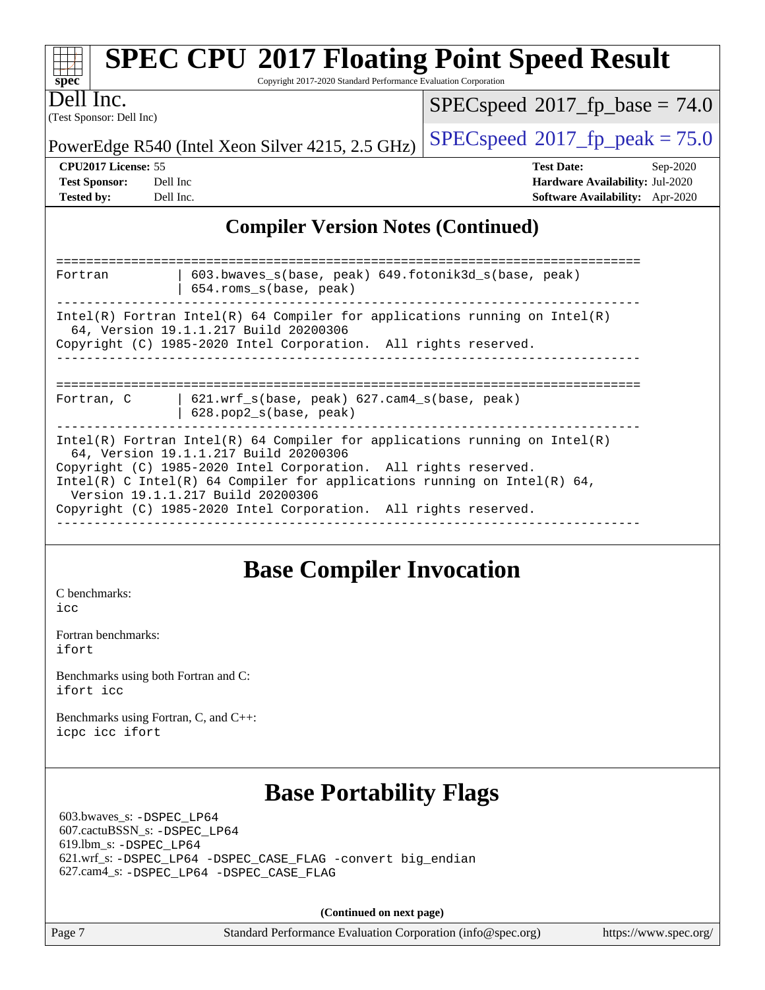| <b>SPEC CPU®2017 Floating Point Speed Result</b><br>Copyright 2017-2020 Standard Performance Evaluation Corporation<br>$spec^*$                                                                                                                                                                                                                                              |                                                                                                     |
|------------------------------------------------------------------------------------------------------------------------------------------------------------------------------------------------------------------------------------------------------------------------------------------------------------------------------------------------------------------------------|-----------------------------------------------------------------------------------------------------|
| Dell Inc.<br>(Test Sponsor: Dell Inc)                                                                                                                                                                                                                                                                                                                                        | $SPEC speed$ <sup>®</sup> 2017_fp_base = 74.0                                                       |
| PowerEdge R540 (Intel Xeon Silver 4215, 2.5 GHz)                                                                                                                                                                                                                                                                                                                             | $SPEC speed^{\circ}2017$ fp peak = 75.0                                                             |
| CPU2017 License: 55<br><b>Test Sponsor:</b><br>Dell Inc<br><b>Tested by:</b><br>Dell Inc.                                                                                                                                                                                                                                                                                    | <b>Test Date:</b><br>Sep-2020<br>Hardware Availability: Jul-2020<br>Software Availability: Apr-2020 |
| <b>Compiler Version Notes (Continued)</b>                                                                                                                                                                                                                                                                                                                                    |                                                                                                     |
| 603.bwaves_s(base, peak) 649.fotonik3d_s(base, peak)<br>Fortran<br>654.roms_s(base, peak)                                                                                                                                                                                                                                                                                    |                                                                                                     |
| $Intel(R)$ Fortran Intel(R) 64 Compiler for applications running on Intel(R)<br>64, Version 19.1.1.217 Build 20200306<br>Copyright (C) 1985-2020 Intel Corporation. All rights reserved.                                                                                                                                                                                     |                                                                                                     |
| 621.wrf_s(base, peak) 627.cam4_s(base, peak)<br>Fortran, C<br>628.pop2_s(base, peak)                                                                                                                                                                                                                                                                                         |                                                                                                     |
| Intel(R) Fortran Intel(R) 64 Compiler for applications running on $Intel(R)$<br>64, Version 19.1.1.217 Build 20200306<br>Copyright (C) 1985-2020 Intel Corporation. All rights reserved.<br>Intel(R) C Intel(R) 64 Compiler for applications running on Intel(R) 64,<br>Version 19.1.1.217 Build 20200306<br>Copyright (C) 1985-2020 Intel Corporation. All rights reserved. |                                                                                                     |

### **[Base Compiler Invocation](http://www.spec.org/auto/cpu2017/Docs/result-fields.html#BaseCompilerInvocation)**

[C benchmarks](http://www.spec.org/auto/cpu2017/Docs/result-fields.html#Cbenchmarks): [icc](http://www.spec.org/cpu2017/results/res2020q4/cpu2017-20200928-24062.flags.html#user_CCbase_intel_icc_66fc1ee009f7361af1fbd72ca7dcefbb700085f36577c54f309893dd4ec40d12360134090235512931783d35fd58c0460139e722d5067c5574d8eaf2b3e37e92)

[Fortran benchmarks](http://www.spec.org/auto/cpu2017/Docs/result-fields.html#Fortranbenchmarks): [ifort](http://www.spec.org/cpu2017/results/res2020q4/cpu2017-20200928-24062.flags.html#user_FCbase_intel_ifort_8111460550e3ca792625aed983ce982f94888b8b503583aa7ba2b8303487b4d8a21a13e7191a45c5fd58ff318f48f9492884d4413fa793fd88dd292cad7027ca)

[Benchmarks using both Fortran and C](http://www.spec.org/auto/cpu2017/Docs/result-fields.html#BenchmarksusingbothFortranandC): [ifort](http://www.spec.org/cpu2017/results/res2020q4/cpu2017-20200928-24062.flags.html#user_CC_FCbase_intel_ifort_8111460550e3ca792625aed983ce982f94888b8b503583aa7ba2b8303487b4d8a21a13e7191a45c5fd58ff318f48f9492884d4413fa793fd88dd292cad7027ca) [icc](http://www.spec.org/cpu2017/results/res2020q4/cpu2017-20200928-24062.flags.html#user_CC_FCbase_intel_icc_66fc1ee009f7361af1fbd72ca7dcefbb700085f36577c54f309893dd4ec40d12360134090235512931783d35fd58c0460139e722d5067c5574d8eaf2b3e37e92)

[Benchmarks using Fortran, C, and C++:](http://www.spec.org/auto/cpu2017/Docs/result-fields.html#BenchmarksusingFortranCandCXX) [icpc](http://www.spec.org/cpu2017/results/res2020q4/cpu2017-20200928-24062.flags.html#user_CC_CXX_FCbase_intel_icpc_c510b6838c7f56d33e37e94d029a35b4a7bccf4766a728ee175e80a419847e808290a9b78be685c44ab727ea267ec2f070ec5dc83b407c0218cded6866a35d07) [icc](http://www.spec.org/cpu2017/results/res2020q4/cpu2017-20200928-24062.flags.html#user_CC_CXX_FCbase_intel_icc_66fc1ee009f7361af1fbd72ca7dcefbb700085f36577c54f309893dd4ec40d12360134090235512931783d35fd58c0460139e722d5067c5574d8eaf2b3e37e92) [ifort](http://www.spec.org/cpu2017/results/res2020q4/cpu2017-20200928-24062.flags.html#user_CC_CXX_FCbase_intel_ifort_8111460550e3ca792625aed983ce982f94888b8b503583aa7ba2b8303487b4d8a21a13e7191a45c5fd58ff318f48f9492884d4413fa793fd88dd292cad7027ca)

### **[Base Portability Flags](http://www.spec.org/auto/cpu2017/Docs/result-fields.html#BasePortabilityFlags)**

 603.bwaves\_s: [-DSPEC\\_LP64](http://www.spec.org/cpu2017/results/res2020q4/cpu2017-20200928-24062.flags.html#suite_basePORTABILITY603_bwaves_s_DSPEC_LP64) 607.cactuBSSN\_s: [-DSPEC\\_LP64](http://www.spec.org/cpu2017/results/res2020q4/cpu2017-20200928-24062.flags.html#suite_basePORTABILITY607_cactuBSSN_s_DSPEC_LP64) 619.lbm\_s: [-DSPEC\\_LP64](http://www.spec.org/cpu2017/results/res2020q4/cpu2017-20200928-24062.flags.html#suite_basePORTABILITY619_lbm_s_DSPEC_LP64) 621.wrf\_s: [-DSPEC\\_LP64](http://www.spec.org/cpu2017/results/res2020q4/cpu2017-20200928-24062.flags.html#suite_basePORTABILITY621_wrf_s_DSPEC_LP64) [-DSPEC\\_CASE\\_FLAG](http://www.spec.org/cpu2017/results/res2020q4/cpu2017-20200928-24062.flags.html#b621.wrf_s_baseCPORTABILITY_DSPEC_CASE_FLAG) [-convert big\\_endian](http://www.spec.org/cpu2017/results/res2020q4/cpu2017-20200928-24062.flags.html#user_baseFPORTABILITY621_wrf_s_convert_big_endian_c3194028bc08c63ac5d04de18c48ce6d347e4e562e8892b8bdbdc0214820426deb8554edfa529a3fb25a586e65a3d812c835984020483e7e73212c4d31a38223) 627.cam4\_s: [-DSPEC\\_LP64](http://www.spec.org/cpu2017/results/res2020q4/cpu2017-20200928-24062.flags.html#suite_basePORTABILITY627_cam4_s_DSPEC_LP64) [-DSPEC\\_CASE\\_FLAG](http://www.spec.org/cpu2017/results/res2020q4/cpu2017-20200928-24062.flags.html#b627.cam4_s_baseCPORTABILITY_DSPEC_CASE_FLAG)

**(Continued on next page)**

Page 7 Standard Performance Evaluation Corporation [\(info@spec.org\)](mailto:info@spec.org) <https://www.spec.org/>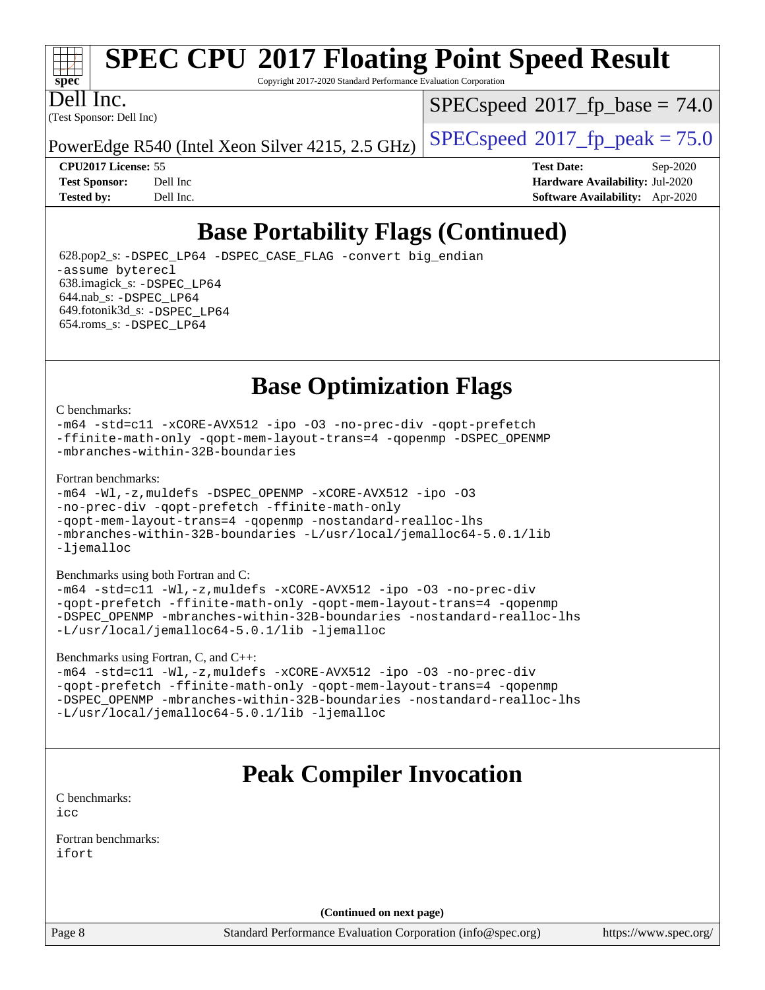

Copyright 2017-2020 Standard Performance Evaluation Corporation

(Test Sponsor: Dell Inc) Dell Inc.

 $SPECspeed^{\circ}2017\_fp\_base = 74.0$  $SPECspeed^{\circ}2017\_fp\_base = 74.0$ 

PowerEdge R540 (Intel Xeon Silver 4215, 2.5 GHz)  $\left|$  [SPECspeed](http://www.spec.org/auto/cpu2017/Docs/result-fields.html#SPECspeed2017fppeak)®[2017\\_fp\\_peak = 7](http://www.spec.org/auto/cpu2017/Docs/result-fields.html#SPECspeed2017fppeak)5.0

**[CPU2017 License:](http://www.spec.org/auto/cpu2017/Docs/result-fields.html#CPU2017License)** 55 **[Test Date:](http://www.spec.org/auto/cpu2017/Docs/result-fields.html#TestDate)** Sep-2020 **[Test Sponsor:](http://www.spec.org/auto/cpu2017/Docs/result-fields.html#TestSponsor)** Dell Inc **[Hardware Availability:](http://www.spec.org/auto/cpu2017/Docs/result-fields.html#HardwareAvailability)** Jul-2020 **[Tested by:](http://www.spec.org/auto/cpu2017/Docs/result-fields.html#Testedby)** Dell Inc. **[Software Availability:](http://www.spec.org/auto/cpu2017/Docs/result-fields.html#SoftwareAvailability)** Apr-2020

## **[Base Portability Flags \(Continued\)](http://www.spec.org/auto/cpu2017/Docs/result-fields.html#BasePortabilityFlags)**

 628.pop2\_s: [-DSPEC\\_LP64](http://www.spec.org/cpu2017/results/res2020q4/cpu2017-20200928-24062.flags.html#suite_basePORTABILITY628_pop2_s_DSPEC_LP64) [-DSPEC\\_CASE\\_FLAG](http://www.spec.org/cpu2017/results/res2020q4/cpu2017-20200928-24062.flags.html#b628.pop2_s_baseCPORTABILITY_DSPEC_CASE_FLAG) [-convert big\\_endian](http://www.spec.org/cpu2017/results/res2020q4/cpu2017-20200928-24062.flags.html#user_baseFPORTABILITY628_pop2_s_convert_big_endian_c3194028bc08c63ac5d04de18c48ce6d347e4e562e8892b8bdbdc0214820426deb8554edfa529a3fb25a586e65a3d812c835984020483e7e73212c4d31a38223) [-assume byterecl](http://www.spec.org/cpu2017/results/res2020q4/cpu2017-20200928-24062.flags.html#user_baseFPORTABILITY628_pop2_s_assume_byterecl_7e47d18b9513cf18525430bbf0f2177aa9bf368bc7a059c09b2c06a34b53bd3447c950d3f8d6c70e3faf3a05c8557d66a5798b567902e8849adc142926523472) 638.imagick\_s: [-DSPEC\\_LP64](http://www.spec.org/cpu2017/results/res2020q4/cpu2017-20200928-24062.flags.html#suite_basePORTABILITY638_imagick_s_DSPEC_LP64) 644.nab\_s: [-DSPEC\\_LP64](http://www.spec.org/cpu2017/results/res2020q4/cpu2017-20200928-24062.flags.html#suite_basePORTABILITY644_nab_s_DSPEC_LP64) 649.fotonik3d\_s: [-DSPEC\\_LP64](http://www.spec.org/cpu2017/results/res2020q4/cpu2017-20200928-24062.flags.html#suite_basePORTABILITY649_fotonik3d_s_DSPEC_LP64) 654.roms\_s: [-DSPEC\\_LP64](http://www.spec.org/cpu2017/results/res2020q4/cpu2017-20200928-24062.flags.html#suite_basePORTABILITY654_roms_s_DSPEC_LP64)

**[Base Optimization Flags](http://www.spec.org/auto/cpu2017/Docs/result-fields.html#BaseOptimizationFlags)**

[C benchmarks](http://www.spec.org/auto/cpu2017/Docs/result-fields.html#Cbenchmarks):

[-m64](http://www.spec.org/cpu2017/results/res2020q4/cpu2017-20200928-24062.flags.html#user_CCbase_m64-icc) [-std=c11](http://www.spec.org/cpu2017/results/res2020q4/cpu2017-20200928-24062.flags.html#user_CCbase_std-icc-std_0e1c27790398a4642dfca32ffe6c27b5796f9c2d2676156f2e42c9c44eaad0c049b1cdb667a270c34d979996257aeb8fc440bfb01818dbc9357bd9d174cb8524) [-xCORE-AVX512](http://www.spec.org/cpu2017/results/res2020q4/cpu2017-20200928-24062.flags.html#user_CCbase_f-xCORE-AVX512) [-ipo](http://www.spec.org/cpu2017/results/res2020q4/cpu2017-20200928-24062.flags.html#user_CCbase_f-ipo) [-O3](http://www.spec.org/cpu2017/results/res2020q4/cpu2017-20200928-24062.flags.html#user_CCbase_f-O3) [-no-prec-div](http://www.spec.org/cpu2017/results/res2020q4/cpu2017-20200928-24062.flags.html#user_CCbase_f-no-prec-div) [-qopt-prefetch](http://www.spec.org/cpu2017/results/res2020q4/cpu2017-20200928-24062.flags.html#user_CCbase_f-qopt-prefetch) [-ffinite-math-only](http://www.spec.org/cpu2017/results/res2020q4/cpu2017-20200928-24062.flags.html#user_CCbase_f_finite_math_only_cb91587bd2077682c4b38af759c288ed7c732db004271a9512da14a4f8007909a5f1427ecbf1a0fb78ff2a814402c6114ac565ca162485bbcae155b5e4258871) [-qopt-mem-layout-trans=4](http://www.spec.org/cpu2017/results/res2020q4/cpu2017-20200928-24062.flags.html#user_CCbase_f-qopt-mem-layout-trans_fa39e755916c150a61361b7846f310bcdf6f04e385ef281cadf3647acec3f0ae266d1a1d22d972a7087a248fd4e6ca390a3634700869573d231a252c784941a8) [-qopenmp](http://www.spec.org/cpu2017/results/res2020q4/cpu2017-20200928-24062.flags.html#user_CCbase_qopenmp_16be0c44f24f464004c6784a7acb94aca937f053568ce72f94b139a11c7c168634a55f6653758ddd83bcf7b8463e8028bb0b48b77bcddc6b78d5d95bb1df2967) [-DSPEC\\_OPENMP](http://www.spec.org/cpu2017/results/res2020q4/cpu2017-20200928-24062.flags.html#suite_CCbase_DSPEC_OPENMP) [-mbranches-within-32B-boundaries](http://www.spec.org/cpu2017/results/res2020q4/cpu2017-20200928-24062.flags.html#user_CCbase_f-mbranches-within-32B-boundaries)

[Fortran benchmarks](http://www.spec.org/auto/cpu2017/Docs/result-fields.html#Fortranbenchmarks):

```
-m64 -Wl,-z,muldefs -DSPEC_OPENMP -xCORE-AVX512 -ipo -O3
-no-prec-div -qopt-prefetch -ffinite-math-only
-qopt-mem-layout-trans=4 -qopenmp -nostandard-realloc-lhs
-mbranches-within-32B-boundaries -L/usr/local/jemalloc64-5.0.1/lib
-ljemalloc
```
[Benchmarks using both Fortran and C](http://www.spec.org/auto/cpu2017/Docs/result-fields.html#BenchmarksusingbothFortranandC):

```
-m64 -std=c11 -Wl,-z,muldefs -xCORE-AVX512 -ipo -O3 -no-prec-div
-qopt-prefetch -ffinite-math-only -qopt-mem-layout-trans=4 -qopenmp
-DSPEC_OPENMP -mbranches-within-32B-boundaries -nostandard-realloc-lhs
-L/usr/local/jemalloc64-5.0.1/lib -ljemalloc
```
[Benchmarks using Fortran, C, and C++:](http://www.spec.org/auto/cpu2017/Docs/result-fields.html#BenchmarksusingFortranCandCXX)

```
-m64 -std=c11 -Wl,-z,muldefs -xCORE-AVX512 -ipo -O3 -no-prec-div
-qopt-prefetch -ffinite-math-only -qopt-mem-layout-trans=4 -qopenmp
-DSPEC_OPENMP -mbranches-within-32B-boundaries -nostandard-realloc-lhs
-L/usr/local/jemalloc64-5.0.1/lib -ljemalloc
```
### **[Peak Compiler Invocation](http://www.spec.org/auto/cpu2017/Docs/result-fields.html#PeakCompilerInvocation)**

[C benchmarks](http://www.spec.org/auto/cpu2017/Docs/result-fields.html#Cbenchmarks): [icc](http://www.spec.org/cpu2017/results/res2020q4/cpu2017-20200928-24062.flags.html#user_CCpeak_intel_icc_66fc1ee009f7361af1fbd72ca7dcefbb700085f36577c54f309893dd4ec40d12360134090235512931783d35fd58c0460139e722d5067c5574d8eaf2b3e37e92)

[Fortran benchmarks](http://www.spec.org/auto/cpu2017/Docs/result-fields.html#Fortranbenchmarks): [ifort](http://www.spec.org/cpu2017/results/res2020q4/cpu2017-20200928-24062.flags.html#user_FCpeak_intel_ifort_8111460550e3ca792625aed983ce982f94888b8b503583aa7ba2b8303487b4d8a21a13e7191a45c5fd58ff318f48f9492884d4413fa793fd88dd292cad7027ca)

**(Continued on next page)**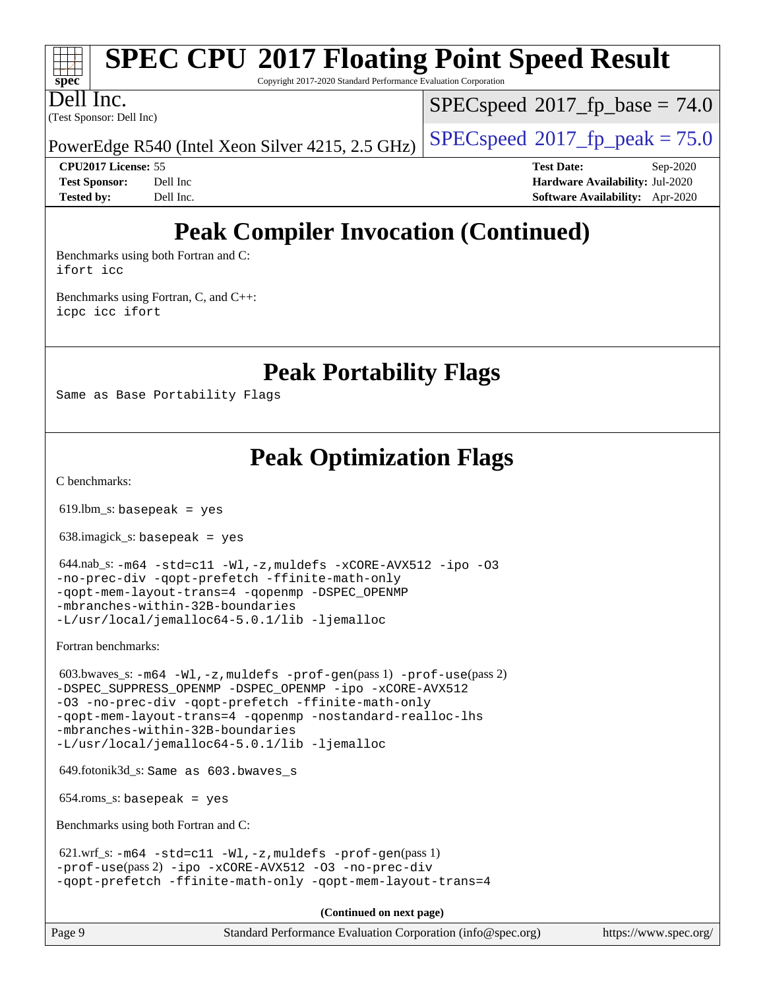

Copyright 2017-2020 Standard Performance Evaluation Corporation

(Test Sponsor: Dell Inc) Dell Inc.

 $SPECspeed^{\circ}2017\_fp\_base = 74.0$  $SPECspeed^{\circ}2017\_fp\_base = 74.0$ 

PowerEdge R540 (Intel Xeon Silver 4215, 2.5 GHz)  $\left|$  [SPECspeed](http://www.spec.org/auto/cpu2017/Docs/result-fields.html#SPECspeed2017fppeak)®[2017\\_fp\\_peak = 7](http://www.spec.org/auto/cpu2017/Docs/result-fields.html#SPECspeed2017fppeak)5.0

**[CPU2017 License:](http://www.spec.org/auto/cpu2017/Docs/result-fields.html#CPU2017License)** 55 **[Test Date:](http://www.spec.org/auto/cpu2017/Docs/result-fields.html#TestDate)** Sep-2020 **[Test Sponsor:](http://www.spec.org/auto/cpu2017/Docs/result-fields.html#TestSponsor)** Dell Inc **[Hardware Availability:](http://www.spec.org/auto/cpu2017/Docs/result-fields.html#HardwareAvailability)** Jul-2020 **[Tested by:](http://www.spec.org/auto/cpu2017/Docs/result-fields.html#Testedby)** Dell Inc. **[Software Availability:](http://www.spec.org/auto/cpu2017/Docs/result-fields.html#SoftwareAvailability)** Apr-2020

## **[Peak Compiler Invocation \(Continued\)](http://www.spec.org/auto/cpu2017/Docs/result-fields.html#PeakCompilerInvocation)**

[Benchmarks using both Fortran and C](http://www.spec.org/auto/cpu2017/Docs/result-fields.html#BenchmarksusingbothFortranandC): [ifort](http://www.spec.org/cpu2017/results/res2020q4/cpu2017-20200928-24062.flags.html#user_CC_FCpeak_intel_ifort_8111460550e3ca792625aed983ce982f94888b8b503583aa7ba2b8303487b4d8a21a13e7191a45c5fd58ff318f48f9492884d4413fa793fd88dd292cad7027ca) [icc](http://www.spec.org/cpu2017/results/res2020q4/cpu2017-20200928-24062.flags.html#user_CC_FCpeak_intel_icc_66fc1ee009f7361af1fbd72ca7dcefbb700085f36577c54f309893dd4ec40d12360134090235512931783d35fd58c0460139e722d5067c5574d8eaf2b3e37e92)

[Benchmarks using Fortran, C, and C++:](http://www.spec.org/auto/cpu2017/Docs/result-fields.html#BenchmarksusingFortranCandCXX) [icpc](http://www.spec.org/cpu2017/results/res2020q4/cpu2017-20200928-24062.flags.html#user_CC_CXX_FCpeak_intel_icpc_c510b6838c7f56d33e37e94d029a35b4a7bccf4766a728ee175e80a419847e808290a9b78be685c44ab727ea267ec2f070ec5dc83b407c0218cded6866a35d07) [icc](http://www.spec.org/cpu2017/results/res2020q4/cpu2017-20200928-24062.flags.html#user_CC_CXX_FCpeak_intel_icc_66fc1ee009f7361af1fbd72ca7dcefbb700085f36577c54f309893dd4ec40d12360134090235512931783d35fd58c0460139e722d5067c5574d8eaf2b3e37e92) [ifort](http://www.spec.org/cpu2017/results/res2020q4/cpu2017-20200928-24062.flags.html#user_CC_CXX_FCpeak_intel_ifort_8111460550e3ca792625aed983ce982f94888b8b503583aa7ba2b8303487b4d8a21a13e7191a45c5fd58ff318f48f9492884d4413fa793fd88dd292cad7027ca)

**[Peak Portability Flags](http://www.spec.org/auto/cpu2017/Docs/result-fields.html#PeakPortabilityFlags)**

Same as Base Portability Flags

**[Peak Optimization Flags](http://www.spec.org/auto/cpu2017/Docs/result-fields.html#PeakOptimizationFlags)**

[C benchmarks](http://www.spec.org/auto/cpu2017/Docs/result-fields.html#Cbenchmarks):

619.lbm\_s: basepeak = yes

638.imagick\_s: basepeak = yes

```
 644.nab_s: -m64 -std=c11 -Wl,-z,muldefs -xCORE-AVX512 -ipo -O3
-no-prec-div -qopt-prefetch -ffinite-math-only
-qopt-mem-layout-trans=4 -qopenmp -DSPEC_OPENMP
-mbranches-within-32B-boundaries
-L/usr/local/jemalloc64-5.0.1/lib -ljemalloc
```
[Fortran benchmarks](http://www.spec.org/auto/cpu2017/Docs/result-fields.html#Fortranbenchmarks):

```
 603.bwaves_s: -m64 -Wl,-z,muldefs -prof-gen(pass 1) -prof-use(pass 2)
-DSPEC_SUPPRESS_OPENMP -DSPEC_OPENMP -ipo -xCORE-AVX512
-O3 -no-prec-div -qopt-prefetch -ffinite-math-only
-qopt-mem-layout-trans=4 -qopenmp -nostandard-realloc-lhs
-mbranches-within-32B-boundaries
-L/usr/local/jemalloc64-5.0.1/lib -ljemalloc
```
649.fotonik3d\_s: Same as 603.bwaves\_s

 $654$ .roms\_s: basepeak = yes

[Benchmarks using both Fortran and C](http://www.spec.org/auto/cpu2017/Docs/result-fields.html#BenchmarksusingbothFortranandC):

```
621.wrf_s: -m64 -std=cl1 -Wl, -z, muldefs -prof-qen(pass 1)-prof-use(pass 2) -ipo -xCORE-AVX512 -O3 -no-prec-div
-qopt-prefetch -ffinite-math-only -qopt-mem-layout-trans=4
```
**(Continued on next page)**